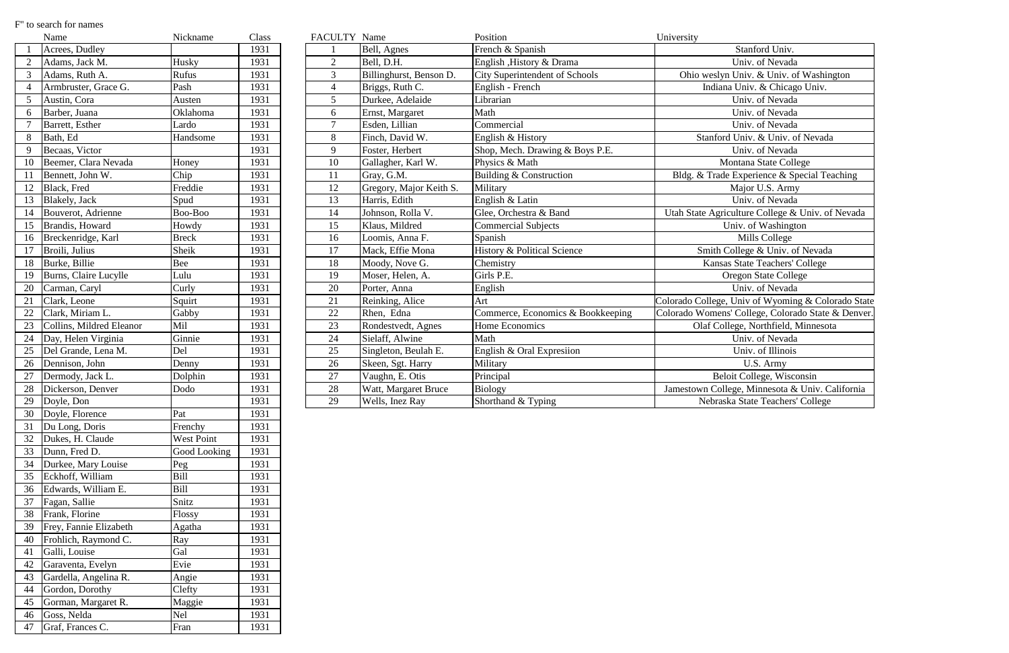|    | Name                     | Nickname     | Class | FACULTY Name   |                         | Position                               | University                                         |
|----|--------------------------|--------------|-------|----------------|-------------------------|----------------------------------------|----------------------------------------------------|
|    | Acrees, Dudley           |              | 1931  |                | Bell, Agnes             | French & Spanish                       | Stanford Univ.                                     |
|    | Adams, Jack M.           | Husky        | 1931  | $\overline{2}$ | Bell, D.H.              | English , History & Drama              | Univ. of Nevada                                    |
|    | Adams, Ruth A.           | Rufus        | 1931  | $\overline{3}$ | Billinghurst, Benson D. | City Superintendent of Schools         | Ohio weslyn Univ. & Univ. of Washington            |
|    | Armbruster, Grace G.     | Pash         | 1931  | $\overline{4}$ | Briggs, Ruth C.         | English - French                       | Indiana Univ. & Chicago Univ.                      |
|    | Austin, Cora             | Austen       | 1931  | 5              | Durkee, Adelaide        | Librarian                              | Univ. of Nevada                                    |
| 6  | Barber, Juana            | Oklahoma     | 1931  | 6              | Ernst, Margaret         | Math                                   | Univ. of Nevada                                    |
|    | Barrett, Esther          | Lardo        | 1931  | $\tau$         | Esden, Lillian          | Commercial                             | Univ. of Nevada                                    |
| 8  | Bath, Ed                 | Handsome     | 1931  | 8              | Finch, David W.         | English & History                      | Stanford Univ. & Univ. of Nevada                   |
| 9  | Becaas, Victor           |              | 1931  | 9              | Foster, Herbert         | Shop, Mech. Drawing & Boys P.E.        | Univ. of Nevada                                    |
| 10 | Beemer, Clara Nevada     | Honey        | 1931  | 10             | Gallagher, Karl W.      | Physics & Math                         | Montana State College                              |
| 11 | Bennett, John W.         | Chip         | 1931  | 11             | Gray, G.M.              | Building & Construction                | Bldg. & Trade Experience & Special Teaching        |
| 12 | Black, Fred              | Freddie      | 1931  | 12             | Gregory, Major Keith S. | Military                               | Major U.S. Army                                    |
| 13 | Blakely, Jack            | Spud         | 1931  | 13             | Harris, Edith           | English & Latin                        | Univ. of Nevada                                    |
| 14 | Bouverot, Adrienne       | Boo-Boo      | 1931  | 14             | Johnson, Rolla V.       | Glee, Orchestra & Band                 | Utah State Agriculture College & Univ. of Nevada   |
| 15 | Brandis, Howard          | Howdy        | 1931  | 15             | Klaus, Mildred          | Commercial Subjects                    | Univ. of Washington                                |
| 16 | Breckenridge, Karl       | <b>Breck</b> | 1931  | 16             | Loomis, Anna F.         | Spanish                                | Mills College                                      |
| 17 | Broili, Julius           | Sheik        | 1931  | 17             | Mack, Effie Mona        | <b>History &amp; Political Science</b> | Smith College & Univ. of Nevada                    |
| 18 | Burke, Billie            | <b>Bee</b>   | 1931  | 18             | Moody, Nove G.          | Chemistry                              | Kansas State Teachers' College                     |
| 19 | Burns, Claire Lucylle    | Lulu         | 1931  | 19             | Moser, Helen, A.        | Girls P.E.                             | <b>Oregon State College</b>                        |
| 20 | Carman, Caryl            | Curly        | 1931  | 20             | Porter, Anna            | English                                | Univ. of Nevada                                    |
| 21 | Clark, Leone             | Squirt       | 1931  | 21             | Reinking, Alice         | Art                                    | Colorado College, Univ of Wyoming & Colorado State |
| 22 | Clark, Miriam L.         | Gabby        | 1931  | 22             | Rhen, Edna              | Commerce, Economics & Bookkeeping      | Colorado Womens' College, Colorado State & Denver. |
| 23 | Collins, Mildred Eleanor | Mil          | 1931  | 23             | Rondestvedt, Agnes      | Home Economics                         | Olaf College, Northfield, Minnesota                |
| 24 | Day, Helen Virginia      | Ginnie       | 1931  | 24             | Sielaff, Alwine         | Math                                   | Univ. of Nevada                                    |
| 25 | Del Grande, Lena M.      | Del          | 1931  | 25             | Singleton, Beulah E.    | English & Oral Expresiion              | Univ. of Illinois                                  |
| 26 | Dennison, John           | Denny        | 1931  | 26             | Skeen, Sgt. Harry       | Military                               | U.S. Army                                          |
| 27 | Dermody, Jack L.         | Dolphin      | 1931  | 27             | Vaughn, E. Otis         | Principal                              | Beloit College, Wisconsin                          |
| 28 | Dickerson, Denver        | Dodo         | 1931  | 28             | Watt, Margaret Bruce    | Biology                                | Jamestown College, Minnesota & Univ. California    |
| 29 | Doyle, Don               |              | 1931  | 29             | Wells, Inez Ray         | Shorthand & Typing                     | Nebraska State Teachers' College                   |

## F" to search for names

|                | Name                     | Nickname     | Class |
|----------------|--------------------------|--------------|-------|
| $\mathbf{1}$   | Acrees, Dudley           |              | 1931  |
| $\overline{2}$ | Adams, Jack M.           | Husky        | 1931  |
| 3              | Adams, Ruth A.           | Rufus        | 1931  |
| $\overline{4}$ | Armbruster, Grace G.     | Pash         | 1931  |
| 5              | Austin, Cora             | Austen       | 1931  |
| 6              | Barber, Juana            | Oklahoma     | 1931  |
| 7              | Barrett, Esther          | Lardo        | 1931  |
| 8              | Bath, Ed                 | Handsome     | 1931  |
| 9              | Becaas, Victor           |              | 1931  |
| 10             | Beemer, Clara Nevada     | Honey        | 1931  |
| 11             | Bennett, John W.         | Chip         | 1931  |
| 12             | Black, Fred              | Freddie      | 1931  |
| 13             | Blakely, Jack            | Spud         | 1931  |
| 14             | Bouverot, Adrienne       | Boo-Boo      | 1931  |
| 15             | Brandis, Howard          | Howdy        | 1931  |
| 16             | Breckenridge, Karl       | <b>Breck</b> | 1931  |
| 17             | Broili, Julius           | Sheik        | 1931  |
| 18             | Burke, Billie            | Bee          | 1931  |
| 19             | Burns, Claire Lucylle    | Lulu         | 1931  |
| 20             | Carman, Caryl            | Curly        | 1931  |
| 21             | Clark, Leone             | Squirt       | 1931  |
| 22             | Clark, Miriam L.         | Gabby        | 1931  |
| 23             | Collins, Mildred Eleanor | Mil          | 1931  |
| 24             | Day, Helen Virginia      | Ginnie       | 1931  |
| 25             | Del Grande, Lena M.      | Del          | 1931  |
| 26             | Dennison, John           | Denny        | 1931  |
| 27             | Dermody, Jack L.         | Dolphin      | 1931  |
| 28             | Dickerson, Denver        | Dodo         | 1931  |
| 29             | Doyle, Don               |              | 1931  |
| 30             | Doyle, Florence          | Pat          | 1931  |
| 31             | Du Long, Doris           | Frenchy      | 1931  |
| 32             | Dukes, H. Claude         | West Point   | 1931  |
| 33             | Dunn, Fred D.            | Good Looking | 1931  |
| 34             | Durkee, Mary Louise      | Peg          | 1931  |
| 35             | Eckhoff, William         | <b>Bill</b>  | 1931  |
| 36             | Edwards, William E.      | Bill         | 1931  |
| 37             | Fagan, Sallie            | Snitz        | 1931  |
| 38             | Frank, Florine           | Flossy       | 1931  |
| 39             | Frey, Fannie Elizabeth   | Agatha       | 1931  |
| 40             | Frohlich, Raymond C.     | Ray          | 1931  |
| 41             | Galli, Louise            | Gal          | 1931  |
| 42             | Garaventa, Evelyn        | Evie         | 1931  |
| 43             | Gardella, Angelina R.    | Angie        | 1931  |
| 44             | Gordon, Dorothy          | Clefty       | 1931  |
| 45             | Gorman, Margaret R.      | Maggie       | 1931  |
| 46             | Goss, Nelda              | Nel          | 1931  |
| 47             | Graf, Frances C.         | Fran         | 1931  |
|                |                          |              |       |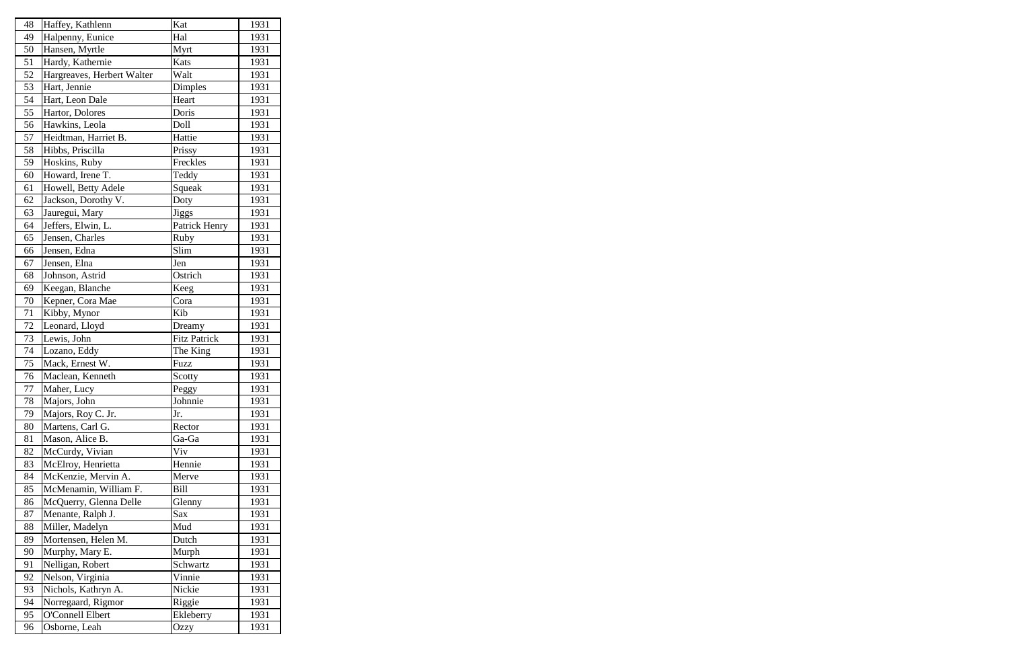| 48 | Haffey, Kathlenn           | Kat                 | 1931 |
|----|----------------------------|---------------------|------|
| 49 | Halpenny, Eunice           | Hal                 | 1931 |
| 50 | Hansen, Myrtle             | Myrt                | 1931 |
| 51 | Hardy, Kathernie           | Kats                | 1931 |
| 52 | Hargreaves, Herbert Walter | Walt                | 1931 |
| 53 | Hart, Jennie               | Dimples             | 1931 |
| 54 | Hart, Leon Dale            | Heart               | 1931 |
| 55 | Hartor, Dolores            | Doris               | 1931 |
| 56 | Hawkins, Leola             | Doll                | 1931 |
| 57 | Heidtman, Harriet B.       | Hattie              | 1931 |
| 58 | Hibbs, Priscilla           | Prissy              | 1931 |
| 59 | Hoskins, Ruby              | Freckles            | 1931 |
| 60 | Howard, Irene T.           | Teddy               | 1931 |
| 61 | Howell, Betty Adele        | Squeak              | 1931 |
| 62 | Jackson, Dorothy V.        | Doty                | 1931 |
| 63 | Jauregui, Mary             | <b>Jiggs</b>        | 1931 |
| 64 | Jeffers, Elwin, L.         | Patrick Henry       | 1931 |
| 65 | Jensen, Charles            | Ruby                | 1931 |
| 66 | Jensen, Edna               | Slim                | 1931 |
| 67 | Jensen, Elna               | Jen                 | 1931 |
| 68 | Johnson, Astrid            | Ostrich             | 1931 |
| 69 | Keegan, Blanche            | Keeg                | 1931 |
| 70 | Kepner, Cora Mae           | Cora                | 1931 |
| 71 | Kibby, Mynor               | Kib                 | 1931 |
| 72 | Leonard, Lloyd             | Dreamy              | 1931 |
| 73 | Lewis, John                | <b>Fitz Patrick</b> | 1931 |
| 74 | Lozano, Eddy               | The King            | 1931 |
| 75 | Mack, Ernest W.            | Fuzz                | 1931 |
| 76 | Maclean, Kenneth           | Scotty              | 1931 |
| 77 | Maher, Lucy                | Peggy               | 1931 |
| 78 | Majors, John               | Johnnie             | 1931 |
| 79 | Majors, Roy C. Jr.         | Jr.                 | 1931 |
| 80 | Martens, Carl G.           | Rector              | 1931 |
| 81 | Mason, Alice B.            | Ga-Ga               | 1931 |
| 82 | McCurdy, Vivian            | Viv                 | 1931 |
| 83 | McElroy, Henrietta         | Hennie              | 1931 |
| 84 | McKenzie, Mervin A.        | Merve               | 1931 |
| 85 | McMenamin, William F.      | <b>Bill</b>         | 1931 |
| 86 | McQuerry, Glenna Delle     | Glenny              | 1931 |
| 87 | Menante, Ralph J.          | Sax                 | 1931 |
| 88 | Miller, Madelyn            | Mud                 | 1931 |
| 89 | Mortensen, Helen M.        | Dutch               | 1931 |
| 90 | Murphy, Mary E.            | Murph               | 1931 |
| 91 | Nelligan, Robert           | Schwartz            | 1931 |
| 92 | Nelson, Virginia           | Vinnie              | 1931 |
| 93 | Nichols, Kathryn A.        | Nickie              | 1931 |
| 94 | Norregaard, Rigmor         | Riggie              | 1931 |
| 95 | <b>O'Connell Elbert</b>    | Ekleberry           | 1931 |
| 96 | Osborne, Leah              | Ozzy                | 1931 |